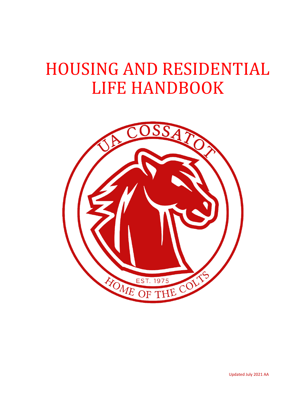# HOUSING AND RESIDENTIAL LIFE HANDBOOK

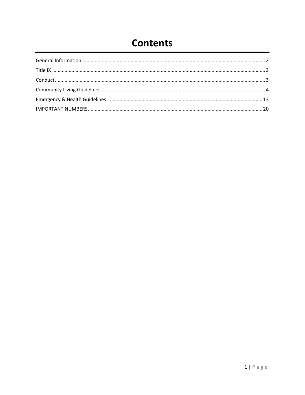# **Contents**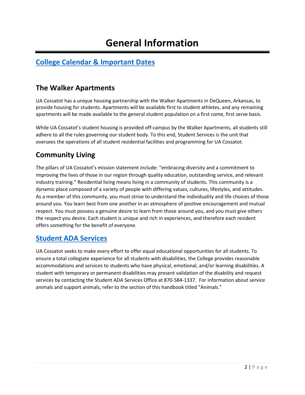# **General Information**

### <span id="page-2-0"></span>**[College Calendar & Important Dates](https://www.cccua.edu/events/?)**

#### **The Walker Apartments**

UA Cossatot has a unique housing partnership with the Walker Apartments in DeQueen, Arkansas, to provide housing for students. Apartments will be available first to student athletes, and any remaining apartments will be made available to the general student population on a first come, first serve basis.

While UA Cossatot's student housing is provided off-campus by the Walker Apartments, all students still adhere to all the rules governing our student body. To this end, Student Services is the unit that oversees the operations of all student residential facilities and programming for UA Cossatot.

#### **Community Living**

The pillars of UA Cossatot's mission statement include: "embracing diversity and a commitment to improving the lives of those in our region through quality education, outstanding service, and relevant industry training." Residential living means living in a community of students. This community is a dynamic place composed of a variety of people with differing values, cultures, lifestyles, and attitudes. As a member of this community, you must strive to understand the individuality and life choices of those around you. You learn best from one another in an atmosphere of positive encouragement and mutual respect. You must possess a genuine desire to learn from those around you, and you must give others the respect you desire. Each student is unique and rich in experiences, and therefore each resident offers something for the benefit of everyone.

#### **[Student ADA Services](https://www.cccua.edu/student-life/disability-support-services)**

UA Cossatot seeks to make every effort to offer equal educational opportunities for all students. To ensure a total collegiate experience for all students with disabilities, the College provides reasonable accommodations and services to students who have physical, emotional, and/or learning disabilities. A student with temporary or permanent disabilities may present validation of the disability and request services by contacting the Student ADA Services Office at 870-584-1337. For information about service animals and support animals, refer to the section of this handbook titled "Animals."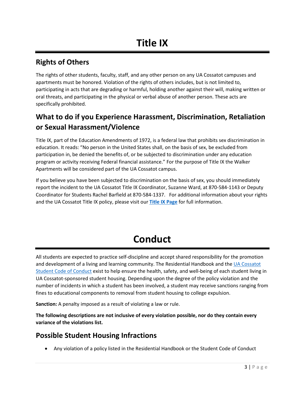#### <span id="page-3-0"></span>**Rights of Others**

The rights of other students, faculty, staff, and any other person on any UA Cossatot campuses and apartments must be honored. Violation of the rights of others includes, but is not limited to, participating in acts that are degrading or harmful, holding another against their will, making written or oral threats, and participating in the physical or verbal abuse of another person. These acts are specifically prohibited.

# **What to do if you Experience Harassment, Discrimination, Retaliation or Sexual Harassment/Violence**

Title IX, part of the Education Amendments of 1972, is a federal law that prohibits sex discrimination in education. It reads: "No person in the United States shall, on the basis of sex, be excluded from participation in, be denied the benefits of, or be subjected to discrimination under any education program or activity receiving Federal financial assistance." For the purpose of Title IX the Walker Apartments will be considered part of the UA Cossatot campus.

If you believe you have been subjected to discrimination on the basis of sex, you should immediately report the incident to the UA Cossatot Title IX Coordinator, Suzanne Ward, at 870-584-1143 or Deputy Coordinator for Students Rachel Barfield at 870-584-1337. For additional information about your rights and the UA Cossatot Title IX policy, please visit our **[Title IX Page](https://www.cccua.edu/student-life/title-ix-information)** for full information.

# **Conduct**

<span id="page-3-1"></span>All students are expected to practice self-discipline and accept shared responsibility for the promotion and development of a living and learning community. The Residential Handbook and the [UA Cossatot](https://www.cccua.edu/student-life/student-policies)  [Student Code of Conduct](https://www.cccua.edu/student-life/student-policies) exist to help ensure the health, safety, and well-being of each student living in UA Cossatot-sponsored student housing. Depending upon the degree of the policy violation and the number of incidents in which a student has been involved, a student may receive sanctions ranging from fines to educational components to removal from student housing to college expulsion.

**Sanction:** A penalty imposed as a result of violating a law or rule.

**The following descriptions are not inclusive of every violation possible, nor do they contain every variance of the violations list.** 

#### **Possible Student Housing Infractions**

• Any violation of a policy listed in the Residential Handbook or the Student Code of Conduct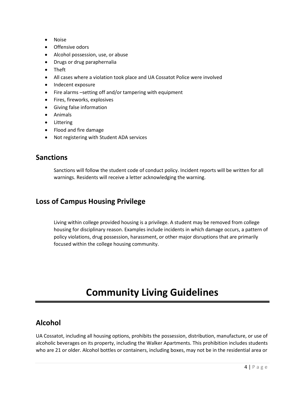- Noise
- Offensive odors
- Alcohol possession, use, or abuse
- Drugs or drug paraphernalia
- Theft
- All cases where a violation took place and UA Cossatot Police were involved
- Indecent exposure
- Fire alarms –setting off and/or tampering with equipment
- Fires, fireworks, explosives
- Giving false information
- Animals
- Littering
- Flood and fire damage
- Not registering with Student ADA services

#### **Sanctions**

Sanctions will follow the student code of conduct policy. Incident reports will be written for all warnings. Residents will receive a letter acknowledging the warning.

#### **Loss of Campus Housing Privilege**

Living within college provided housing is a privilege. A student may be removed from college housing for disciplinary reason. Examples include incidents in which damage occurs, a pattern of policy violations, drug possession, harassment, or other major disruptions that are primarily focused within the college housing community.

# **Community Living Guidelines**

#### <span id="page-4-0"></span>**Alcohol**

UA Cossatot, including all housing options, prohibits the possession, distribution, manufacture, or use of alcoholic beverages on its property, including the Walker Apartments. This prohibition includes students who are 21 or older. Alcohol bottles or containers, including boxes, may not be in the residential area or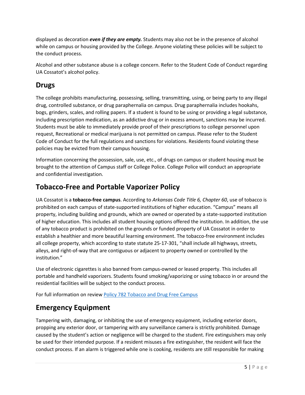displayed as decoration *even if they are empty.* Students may also not be in the presence of alcohol while on campus or housing provided by the College. Anyone violating these policies will be subject to the conduct process.

Alcohol and other substance abuse is a college concern. Refer to the Student Code of Conduct regarding UA Cossatot's alcohol policy.

#### **Drugs**

The college prohibits manufacturing, possessing, selling, transmitting, using, or being party to any illegal drug, controlled substance, or drug paraphernalia on campus. Drug paraphernalia includes hookahs, bogs, grinders, scales, and rolling papers. If a student is found to be using or providing a legal substance, including prescription medication, as an addictive drug or in excess amount, sanctions may be incurred. Students must be able to immediately provide proof of their prescriptions to college personnel upon request, Recreational or medical marijuana is not permitted on campus. Please refer to the Student Code of Conduct for the full regulations and sanctions for violations. Residents found violating these policies may be evicted from their campus housing.

Information concerning the possession, sale, use, etc., of drugs on campus or student housing must be brought to the attention of Campus staff or College Police. College Police will conduct an appropriate and confidential investigation.

### **Tobacco-Free and Portable Vaporizer Policy**

UA Cossatot is a **tobacco-free campus**. According to *Arkansas Code Title 6, Chapter 60*, use of tobacco is prohibited on each campus of state-supported institutions of higher education. "Campus" means all property, including building and grounds, which are owned or operated by a state-supported institution of higher education. This includes all student housing options offered the institution. In addition, the use of any tobacco product is prohibited on the grounds or funded property of UA Cossatot in order to establish a healthier and more beautiful learning environment. The tobacco-free environment includes all college property, which according to state statute 25-17-301, "shall include all highways, streets, alleys, and right-of-way that are contiguous or adjacent to property owned or controlled by the institution."

Use of electronic cigarettes is also banned from campus-owned or leased property. This includes all portable and handheld vaporizers. Students found smoking/vaporizing or using tobacco in or around the residential facilities will be subject to the conduct process.

For full information on review [Policy 782 Tobacco and Drug Free Campus](https://www.cccua.edu/Content/Uploads/cccua/files/Policies%20and%20Procedures/July%202021%20Approved/COLLEGE%20POLICY%20782%20Tobacco%20Use%20and%20Drug%20Free%20Campus.pdf)

# **Emergency Equipment**

Tampering with, damaging, or inhibiting the use of emergency equipment, including exterior doors, propping any exterior door, or tampering with any surveillance camera is strictly prohibited. Damage caused by the student's action or negligence will be charged to the student. Fire extinguishers may only be used for their intended purpose. If a resident misuses a fire extinguisher, the resident will face the conduct process. If an alarm is triggered while one is cooking, residents are still responsible for making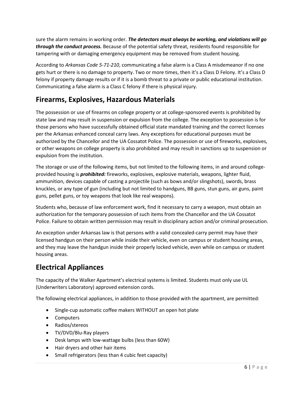sure the alarm remains in working order. *The detectors must always be working, and violations will go through the conduct process.* Because of the potential safety threat, residents found responsible for tampering with or damaging emergency equipment may be removed from student housing.

According to *Arkansas Code 5-71-210*, communicating a false alarm is a Class A misdemeanor if no one gets hurt or there is no damage to property. Two or more times, then it's a Class D Felony. It's a Class D felony if property damage results or if it is a bomb threat to a private or public educational institution. Communicating a false alarm is a Class C felony if there is physical injury.

### **Firearms, Explosives, Hazardous Materials**

The possession or use of firearms on college property or at college-sponsored events is prohibited by state law and may result in suspension or expulsion from the college. The exception to possession is for those persons who have successfully obtained official state mandated training and the correct licenses per the Arkansas enhanced conceal carry laws. Any exceptions for educational purposes must be authorized by the Chancellor and the UA Cossatot Police. The possession or use of fireworks, explosives, or other weapons on college property is also prohibited and may result in sanctions up to suspension or expulsion from the institution.

The storage or use of the following items, but not limited to the following items, in and around collegeprovided housing is *prohibited:* fireworks, explosives, explosive materials, weapons, lighter fluid, ammunition, devices capable of casting a projectile (such as bows and/or slingshots), swords, brass knuckles, or any type of gun (including but not limited to handguns, BB guns, stun guns, air guns, paint guns, pellet guns, or toy weapons that look like real weapons).

Students who, because of law enforcement work, find it necessary to carry a weapon, must obtain an authorization for the temporary possession of such items from the Chancellor and the UA Cossatot Police. Failure to obtain written permission may result in disciplinary action and/or criminal prosecution.

An exception under Arkansas law is that persons with a valid concealed-carry permit may have their licensed handgun on their person while inside their vehicle, even on campus or student housing areas, and they may leave the handgun inside their properly locked vehicle, even while on campus or student housing areas.

### **Electrical Appliances**

The capacity of the Walker Apartment's electrical systems is limited. Students must only use UL (Underwriters Laboratory) approved extension cords.

The following electrical appliances, in addition to those provided with the apartment, are permitted:

- Single-cup automatic coffee makers WITHOUT an open hot plate
- Computers
- Radios/stereos
- TV/DVD/Blu-Ray players
- Desk lamps with low-wattage bulbs (less than 60W)
- Hair dryers and other hair items
- Small refrigerators (less than 4 cubic feet capacity)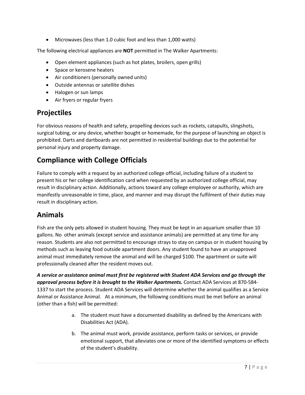• Microwaves (less than 1.0 cubic foot and less than 1,000 watts)

The following electrical appliances are **NOT** permitted in The Walker Apartments:

- Open element appliances (such as hot plates, broilers, open grills)
- Space or kerosene heaters
- Air conditioners (personally owned units)
- Outside antennas or satellite dishes
- Halogen or sun lamps
- Air fryers or regular fryers

#### **Projectiles**

For obvious reasons of health and safety, propelling devices such as rockets, catapults, slingshots, surgical tubing, or any device, whether bought or homemade, for the purpose of launching an object is prohibited. Darts and dartboards are not permitted in residential buildings due to the potential for personal injury and property damage.

### **Compliance with College Officials**

Failure to comply with a request by an authorized college official, including failure of a student to present his or her college identification card when requested by an authorized college official, may result in disciplinary action. Additionally, actions toward any college employee or authority, which are manifestly unreasonable in time, place, and manner and may disrupt the fulfilment of their duties may result in disciplinary action.

#### **Animals**

Fish are the only pets allowed in student housing. They must be kept in an aquarium smaller than 10 gallons. No other animals (except service and assistance animals) are permitted at any time for any reason. Students are also not permitted to encourage strays to stay on campus or in student housing by methods such as leaving food outside apartment doors. Any student found to have an unapproved animal must immediately remove the animal and will be charged \$100. The apartment or suite will professionally cleaned after the resident moves out.

*A service or assistance animal must first be registered with Student ADA Services and go through the approval process before it is brought to the Walker Apartments.* Contact ADA Services at 870-584- 1337 to start the process. Student ADA Services will determine whether the animal qualifies as a Service Animal or Assistance Animal. At a minimum, the following conditions must be met before an animal (other than a fish) will be permitted:

- a. The student must have a documented disability as defined by the Americans with Disabilities Act (ADA).
- b. The animal must work, provide assistance, perform tasks or services, or provide emotional support, that alleviates one or more of the identified symptoms or effects of the student's disability.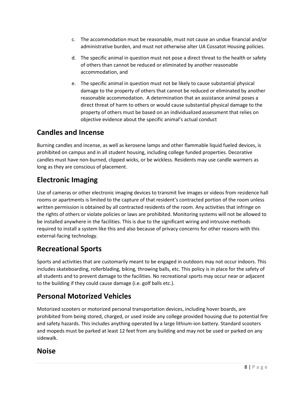- c. The accommodation must be reasonable, must not cause an undue financial and/or administrative burden, and must not otherwise alter UA Cossatot Housing policies.
- d. The specific animal in question must not pose a direct threat to the health or safety of others than cannot be reduced or eliminated by another reasonable accommodation, and
- e. The specific animal in question must not be likely to cause substantial physical damage to the property of others that cannot be reduced or eliminated by another reasonable accommodation. A determination that an assistance animal poses a direct threat of harm to others or would cause substantial physical damage to the property of others must be based on an individualized assessment that relies on objective evidence about the specific animal's actual conduct

#### **Candles and Incense**

Burning candles and incense, as well as kerosene lamps and other flammable liquid fueled devices, is prohibited on campus and in all student housing, including college funded properties. Decorative candles must have non-burned, clipped wicks, or be wickless. Residents may use candle warmers as long as they are conscious of placement.

### **Electronic Imaging**

Use of cameras or other electronic imaging devices to transmit live images or videos from residence hall rooms or apartments is limited to the capture of that resident's contracted portion of the room unless written permission is obtained by all contracted residents of the room. Any activities that infringe on the rights of others or violate policies or laws are prohibited. Monitoring systems will not be allowed to be installed anywhere in the facilities. This is due to the significant wiring and intrusive methods required to install a system like this and also because of privacy concerns for other reasons with this external-facing technology.

### **Recreational Sports**

Sports and activities that are customarily meant to be engaged in outdoors may not occur indoors. This includes skateboarding, rollerblading, biking, throwing balls, etc. This policy is in place for the safety of all students and to prevent damage to the facilities. No recreational sports may occur near or adjacent to the building if they could cause damage (i.e. golf balls etc.).

#### **Personal Motorized Vehicles**

Motorized scooters or motorized personal transportation devices, including hover boards, are prohibited from being stored, charged, or used inside any college provided housing due to potential fire and safety hazards. This includes anything operated by a large lithium-ion battery. Standard scooters and mopeds must be parked at least 12 feet from any building and may not be used or parked on any sidewalk.

#### **Noise**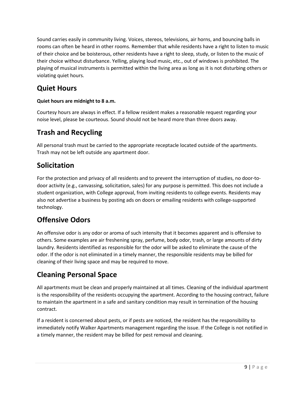Sound carries easily in community living. Voices, stereos, televisions, air horns, and bouncing balls in rooms can often be heard in other rooms. Remember that while residents have a right to listen to music of their choice and be boisterous, other residents have a right to sleep, study, or listen to the music of their choice without disturbance. Yelling, playing loud music, etc., out of windows is prohibited. The playing of musical instruments is permitted within the living area as long as it is not disturbing others or violating quiet hours.

# **Quiet Hours**

#### **Quiet hours are midnight to 8 a.m.**

Courtesy hours are always in effect. If a fellow resident makes a reasonable request regarding your noise level, please be courteous. Sound should not be heard more than three doors away.

### **Trash and Recycling**

All personal trash must be carried to the appropriate receptacle located outside of the apartments. Trash may not be left outside any apartment door.

### **Solicitation**

For the protection and privacy of all residents and to prevent the interruption of studies, no door-todoor activity (e.g., canvassing, solicitation, sales) for any purpose is permitted. This does not include a student organization, with College approval, from inviting residents to college events. Residents may also not advertise a business by posting ads on doors or emailing residents with college-supported technology.

# **Offensive Odors**

An offensive odor is any odor or aroma of such intensity that it becomes apparent and is offensive to others. Some examples are air freshening spray, perfume, body odor, trash, or large amounts of dirty laundry. Residents identified as responsible for the odor will be asked to eliminate the cause of the odor. If the odor is not eliminated in a timely manner, the responsible residents may be billed for cleaning of their living space and may be required to move.

# **Cleaning Personal Space**

All apartments must be clean and properly maintained at all times. Cleaning of the individual apartment is the responsibility of the residents occupying the apartment. According to the housing contract, failure to maintain the apartment in a safe and sanitary condition may result in termination of the housing contract.

If a resident is concerned about pests, or if pests are noticed, the resident has the responsibility to immediately notify Walker Apartments management regarding the issue. If the College is not notified in a timely manner, the resident may be billed for pest removal and cleaning.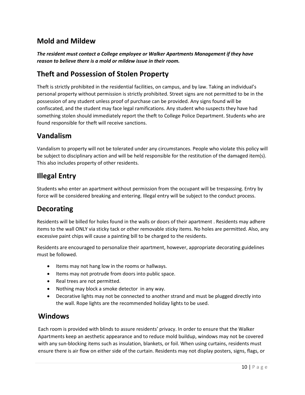### **Mold and Mildew**

*The resident must contact a College employee or Walker Apartments Management if they have reason to believe there is a mold or mildew issue in their room.* 

#### **Theft and Possession of Stolen Property**

Theft is strictly prohibited in the residential facilities, on campus, and by law. Taking an individual's personal property without permission is strictly prohibited. Street signs are not permitted to be in the possession of any student unless proof of purchase can be provided. Any signs found will be confiscated, and the student may face legal ramifications. Any student who suspects they have had something stolen should immediately report the theft to College Police Department. Students who are found responsible for theft will receive sanctions.

#### **Vandalism**

Vandalism to property will not be tolerated under any circumstances. People who violate this policy will be subject to disciplinary action and will be held responsible for the restitution of the damaged item(s). This also includes property of other residents.

#### **Illegal Entry**

Students who enter an apartment without permission from the occupant will be trespassing. Entry by force will be considered breaking and entering. Illegal entry will be subject to the conduct process.

#### **Decorating**

Residents will be billed for holes found in the walls or doors of their apartment . Residents may adhere items to the wall ONLY via sticky tack or other removable sticky items. No holes are permitted. Also, any excessive paint chips will cause a painting bill to be charged to the residents.

Residents are encouraged to personalize their apartment, however, appropriate decorating guidelines must be followed.

- Items may not hang low in the rooms or hallways.
- Items may not protrude from doors into public space.
- Real trees are not permitted.
- Nothing may block a smoke detector in any way.
- Decorative lights may not be connected to another strand and must be plugged directly into the wall. Rope lights are the recommended holiday lights to be used.

#### **Windows**

Each room is provided with blinds to assure residents' privacy. In order to ensure that the Walker Apartments keep an aesthetic appearance and to reduce mold buildup, windows may not be covered with any sun-blocking items such as insulation, blankets, or foil. When using curtains, residents must ensure there is air flow on either side of the curtain. Residents may not display posters, signs, flags, or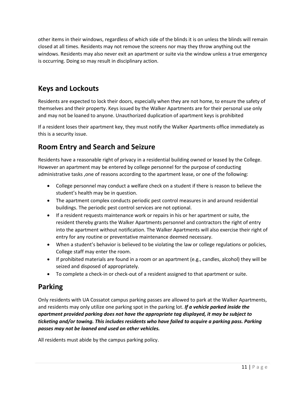other items in their windows, regardless of which side of the blinds it is on unless the blinds will remain closed at all times. Residents may not remove the screens nor may they throw anything out the windows. Residents may also never exit an apartment or suite via the window unless a true emergency is occurring. Doing so may result in disciplinary action.

### **Keys and Lockouts**

Residents are expected to lock their doors, especially when they are not home, to ensure the safety of themselves and their property. Keys issued by the Walker Apartments are for their personal use only and may not be loaned to anyone. Unauthorized duplication of apartment keys is prohibited

If a resident loses their apartment key, they must notify the Walker Apartments office immediately as this is a security issue.

### **Room Entry and Search and Seizure**

Residents have a reasonable right of privacy in a residential building owned or leased by the College. However an apartment may be entered by college personnel for the purpose of conducting administrative tasks ,one of reasons according to the apartment lease, or one of the following:

- College personnel may conduct a welfare check on a student if there is reason to believe the student's health may be in question.
- The apartment complex conducts periodic pest control measures in and around residential buildings. The periodic pest control services are not optional.
- If a resident requests maintenance work or repairs in his or her apartment or suite, the resident thereby grants the Walker Apartments personnel and contractors the right of entry into the apartment without notification. The Walker Apartments will also exercise their right of entry for any routine or preventative maintenance deemed necessary.
- When a student's behavior is believed to be violating the law or college regulations or policies, College staff may enter the room.
- If prohibited materials are found in a room or an apartment (e.g., candles, alcohol) they will be seized and disposed of appropriately.
- To complete a check-in or check-out of a resident assigned to that apartment or suite.

### **Parking**

Only residents with UA Cossatot campus parking passes are allowed to park at the Walker Apartments, and residents may only utilize one parking spot in the parking lot. *If a vehicle parked inside the apartment provided parking does not have the appropriate tag displayed, it may be subject to ticketing and/or towing. This includes residents who have failed to acquire a parking pass. Parking passes may not be loaned and used on other vehicles.* 

All residents must abide by the campus parking policy.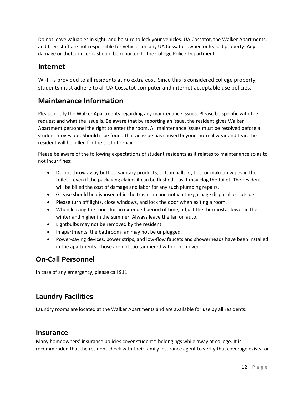Do not leave valuables in sight, and be sure to lock your vehicles. UA Cossatot, the Walker Apartments, and their staff are not responsible for vehicles on any UA Cossatot owned or leased property. Any damage or theft concerns should be reported to the College Police Department.

#### **Internet**

Wi-Fi is provided to all residents at no extra cost. Since this is considered college property, students must adhere to all UA Cossatot computer and internet acceptable use policies.

#### **Maintenance Information**

Please notify the Walker Apartments regarding any maintenance issues. Please be specific with the request and what the issue is. Be aware that by reporting an issue, the resident gives Walker Apartment personnel the right to enter the room. All maintenance issues must be resolved before a student moves out. Should it be found that an issue has caused beyond-normal wear and tear, the resident will be billed for the cost of repair.

Please be aware of the following expectations of student residents as it relates to maintenance so as to not incur fines:

- Do not throw away bottles, sanitary products, cotton balls, Q-tips, or makeup wipes in the toilet – even if the packaging claims it can be flushed – as it may clog the toilet. The resident will be billed the cost of damage and labor for any such plumbing repairs.
- Grease should be disposed of in the trash can and not via the garbage disposal or outside.
- Please turn off lights, close windows, and lock the door when exiting a room.
- When leaving the room for an extended period of time, adjust the thermostat lower in the winter and higher in the summer. Always leave the fan on auto.
- Lightbulbs may not be removed by the resident.
- In apartments, the bathroom fan may not be unplugged.
- Power-saving devices, power strips, and low-flow faucets and showerheads have been installed in the apartments. Those are not too tampered with or removed.

#### **On-Call Personnel**

In case of any emergency, please call 911.

#### **Laundry Facilities**

Laundry rooms are located at the Walker Apartments and are available for use by all residents.

#### **Insurance**

Many homeowners' insurance policies cover students' belongings while away at college. It is recommended that the resident check with their family insurance agent to verify that coverage exists for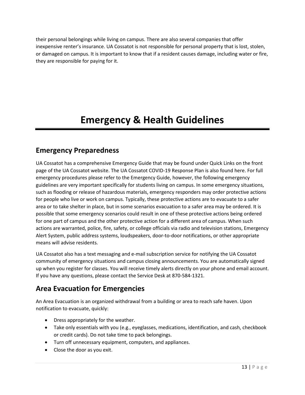their personal belongings while living on campus. There are also several companies that offer inexpensive renter's insurance. UA Cossatot is not responsible for personal property that is lost, stolen, or damaged on campus. It is important to know that if a resident causes damage, including water or fire, they are responsible for paying for it.

# **Emergency & Health Guidelines**

#### <span id="page-13-0"></span>**Emergency Preparedness**

UA Cossatot has a comprehensive Emergency Guide that may be found under Quick Links on the front page of the UA Cossatot website. The UA Cossatot COVID-19 Response Plan is also found here. For full emergency procedures please refer to the Emergency Guide, however, the following emergency guidelines are very important specifically for students living on campus. In some emergency situations, such as flooding or release of hazardous materials, emergency responders may order protective actions for people who live or work on campus. Typically, these protective actions are to evacuate to a safer area or to take shelter in place, but in some scenarios evacuation to a safer area may be ordered. It is possible that some emergency scenarios could result in one of these protective actions being ordered for one part of campus and the other protective action for a different area of campus. When such actions are warranted, police, fire, safety, or college officials via radio and television stations, Emergency Alert System, public address systems, loudspeakers, door-to-door notifications, or other appropriate means will advise residents.

UA Cossatot also has a text messaging and e-mail subscription service for notifying the UA Cossatot community of emergency situations and campus closing announcements. You are automatically signed up when you register for classes. You will receive timely alerts directly on your phone and email account. If you have any questions, please contact the Service Desk at 870-584-1321.

### **Area Evacuation for Emergencies**

An Area Evacuation is an organized withdrawal from a building or area to reach safe haven. Upon notification to evacuate, quickly:

- Dress appropriately for the weather.
- Take only essentials with you (e.g., eyeglasses, medications, identification, and cash, checkbook or credit cards). Do not take time to pack belongings.
- Turn off unnecessary equipment, computers, and appliances.
- Close the door as you exit.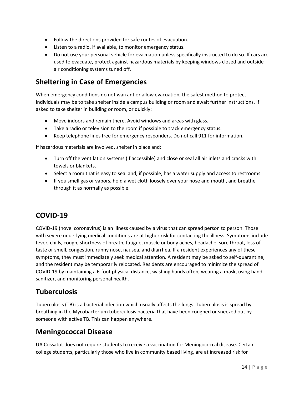- Follow the directions provided for safe routes of evacuation.
- Listen to a radio, if available, to monitor emergency status.
- Do not use your personal vehicle for evacuation unless specifically instructed to do so. If cars are used to evacuate, protect against hazardous materials by keeping windows closed and outside air conditioning systems tuned off.

### **Sheltering in Case of Emergencies**

When emergency conditions do not warrant or allow evacuation, the safest method to protect individuals may be to take shelter inside a campus building or room and await further instructions. If asked to take shelter in building or room, or quickly:

- Move indoors and remain there. Avoid windows and areas with glass.
- Take a radio or television to the room if possible to track emergency status.
- Keep telephone lines free for emergency responders. Do not call 911 for information.

If hazardous materials are involved, shelter in place and:

- Turn off the ventilation systems (if accessible) and close or seal all air inlets and cracks with towels or blankets.
- Select a room that is easy to seal and, if possible, has a water supply and access to restrooms.
- If you smell gas or vapors, hold a wet cloth loosely over your nose and mouth, and breathe through it as normally as possible.

#### **COVID-19**

COVID-19 (novel coronavirus) is an illness caused by a virus that can spread person to person. Those with severe underlying medical conditions are at higher risk for contacting the illness. Symptoms include fever, chills, cough, shortness of breath, fatigue, muscle or body aches, headache, sore throat, loss of taste or smell, congestion, runny nose, nausea, and diarrhea. If a resident experiences any of these symptoms, they must immediately seek medical attention. A resident may be asked to self-quarantine, and the resident may be temporarily relocated. Residents are encouraged to minimize the spread of COVID-19 by maintaining a 6-foot physical distance, washing hands often, wearing a mask, using hand sanitizer, and monitoring personal health.

#### **Tuberculosis**

Tuberculosis (TB) is a bacterial infection which usually affects the lungs. Tuberculosis is spread by breathing in the Mycobacterium tuberculosis bacteria that have been coughed or sneezed out by someone with active TB. This can happen anywhere.

#### **Meningococcal Disease**

UA Cossatot does not require students to receive a vaccination for Meningococcal disease. Certain college students, particularly those who live in community based living, are at increased risk for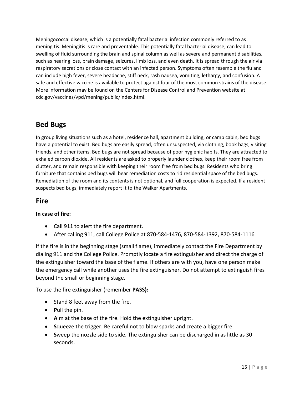Meningococcal disease, which is a potentially fatal bacterial infection commonly referred to as meningitis. Meningitis is rare and preventable. This potentially fatal bacterial disease, can lead to swelling of fluid surrounding the brain and spinal column as well as severe and permanent disabilities, such as hearing loss, brain damage, seizures, limb loss, and even death. It is spread through the air via respiratory secretions or close contact with an infected person. Symptoms often resemble the flu and can include high fever, severe headache, stiff neck, rash nausea, vomiting, lethargy, and confusion. A safe and effective vaccine is available to protect against four of the most common strains of the disease. More information may be found on the Centers for Disease Control and Prevention website at cdc.gov/vaccines/vpd/mening/public/index.html.

### **Bed Bugs**

In group living situations such as a hotel, residence hall, apartment building, or camp cabin, bed bugs have a potential to exist. Bed bugs are easily spread, often unsuspected, via clothing, book bags, visiting friends, and other items. Bed bugs are not spread because of poor hygienic habits. They are attracted to exhaled carbon dioxide. All residents are asked to properly launder clothes, keep their room free from clutter, and remain responsible with keeping their room free from bed bugs. Residents who bring furniture that contains bed bugs will bear remediation costs to rid residential space of the bed bugs. Remediation of the room and its contents is not optional, and full cooperation is expected. If a resident suspects bed bugs, immediately report it to the Walker Apartments.

### **Fire**

#### **In case of fire:**

- Call 911 to alert the fire department.
- After calling 911, call College Police at 870-584-1476, 870-584-1392, 870-584-1116

If the fire is in the beginning stage (small flame), immediately contact the Fire Department by dialing 911 and the College Police. Promptly locate a fire extinguisher and direct the charge of the extinguisher toward the base of the flame. If others are with you, have one person make the emergency call while another uses the fire extinguisher. Do not attempt to extinguish fires beyond the small or beginning stage.

To use the fire extinguisher (remember **PASS):**

- Stand 8 feet away from the fire.
- **P**ull the pin.
- **A**im at the base of the fire. Hold the extinguisher upright.
- **S**queeze the trigger. Be careful not to blow sparks and create a bigger fire.
- **S**weep the nozzle side to side. The extinguisher can be discharged in as little as 30 seconds.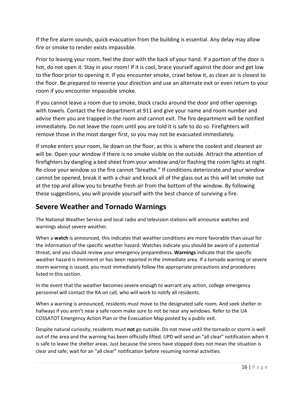If the fire alarm sounds, quick evacuation from the building is essential. Any delay may allow fire or smoke to render exists impassible.

Prior to leaving your room, feel the door with the back of your hand. If a portion of the door is hot, do not open it. Stay in your room! If it is cool, brace yourself against the door and get low to the floor prior to opening it. If you encounter smoke, crawl below it, as clean air is closest to the floor. Be prepared to reverse your direction and use an alternate exit or even return to your room if you encounter impassible smoke.

If you cannot leave a room due to smoke, block cracks around the door and other openings with towels. Contact the fire department at 911 and give your name and room number and advise them you are trapped in the room and cannot exit. The fire department will be notified immediately. Do not leave the room until you are told it is safe to do so. Firefighters will remove those in the most danger first, so you may not be evacuated immediately.

If smoke enters your room, lie down on the floor, as this is where the coolest and cleanest air will be. Open your window if there is no smoke visible on the outside. Attract the attention of firefighters by dangling a bed sheet from your window and/or flashing the room lights at night. Re-close your window so the fire cannot "breathe." If conditions deteriorate and your window cannot be opened, break it with a chair and knock all of the glass out as this will let smoke out at the top and allow you to breathe fresh air from the bottom of the window. By following these suggestions, you will provide yourself with the best chance of surviving a fire.

### **Severe Weather and Tornado Warnings**

The National Weather Service and local radio and television stations will announce watches and warnings about severe weather.

When a **watch** is announced, this indicates that weather conditions are more favorable than usual for the information of the specific weather hazard. Watches indicate you should be aware of a potential threat, and you should review your emergency preparedness. **Warnings** indicate that the specific weather hazard is imminent or has been reported in the immediate area. If a tornado warning or severe storm warning is issued, you must immediately follow the appropriate precautions and procedures listed in this section.

In the event that the weather becomes severe enough to warrant any action, college emergency personnel will contact the RA on call, who will work to notify all residents.

When a warning is announced, residents must move to the designated safe room. And seek shelter in hallways if you aren't near a safe room make sure to not be near any windows. Refer to the UA COSSATOT Emergency Action Plan or the Evacuation Map posted by a public exit.

Despite natural curiosity, residents must **not** go outside. Do not move until the tornado or storm is well out of the area and the warning has been officially lifted. UPD will send an "all clear" notification when it is safe to leave the shelter areas. Just because the sirens have stopped does not mean the situation is clear and safe; wait for an "all clear" notification before resuming normal activities.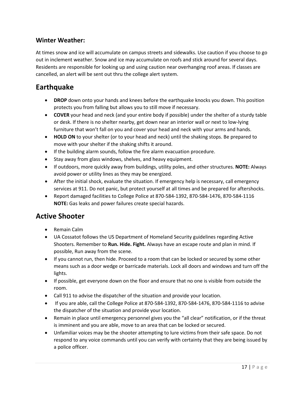#### **Winter Weather:**

At times snow and ice will accumulate on campus streets and sidewalks. Use caution if you choose to go out in inclement weather. Snow and ice may accumulate on roofs and stick around for several days. Residents are responsible for looking up and using caution near overhanging roof areas. If classes are cancelled, an alert will be sent out thru the college alert system.

#### **Earthquake**

- **DROP** down onto your hands and knees before the earthquake knocks you down. This position protects you from falling but allows you to still move if necessary.
- **COVER** your head and neck (and your entire body if possible) under the shelter of a sturdy table or desk. If there is no shelter nearby, get down near an interior wall or next to low-lying furniture that won't fall on you and cover your head and neck with your arms and hands.
- **HOLD ON** to your shelter (or to your head and neck) until the shaking stops. Be prepared to move with your shelter if the shaking shifts it around.
- If the building alarm sounds, follow the fire alarm evacuation procedure.
- Stay away from glass windows, shelves, and heavy equipment.
- If outdoors, more quickly away from buildings, utility poles, and other structures. **NOTE:** Always avoid power or utility lines as they may be energized.
- After the initial shock, evaluate the situation. If emergency help is necessary, call emergency services at 911. Do not panic, but protect yourself at all times and be prepared for aftershocks.
- Report damaged facilities to College Police at 870-584-1392, 870-584-1476, 870-584-1116 **NOTE:** Gas leaks and power failures create special hazards.

### **Active Shooter**

- Remain Calm
- UA Cossatot follows the US Department of Homeland Security guidelines regarding Active Shooters. Remember to **Run. Hide. Fight.** Always have an escape route and plan in mind. If possible, Run away from the scene.
- If you cannot run, then hide. Proceed to a room that can be locked or secured by some other means such as a door wedge or barricade materials. Lock all doors and windows and turn off the lights.
- If possible, get everyone down on the floor and ensure that no one is visible from outside the room.
- Call 911 to advise the dispatcher of the situation and provide your location.
- If you are able, call the College Police at 870-584-1392, 870-584-1476, 870-584-1116 to advise the dispatcher of the situation and provide your location.
- Remain in place until emergency personnel gives you the "all clear" notification, or if the threat is imminent and you are able, move to an area that can be locked or secured.
- Unfamiliar voices may be the shooter attempting to lure victims from their safe space. Do not respond to any voice commands until you can verify with certainty that they are being issued by a police officer.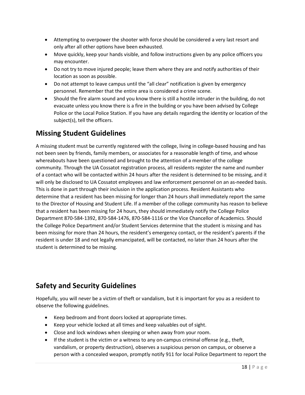- Attempting to overpower the shooter with force should be considered a very last resort and only after all other options have been exhausted.
- Move quickly, keep your hands visible, and follow instructions given by any police officers you may encounter.
- Do not try to move injured people; leave them where they are and notify authorities of their location as soon as possible.
- Do not attempt to leave campus until the "all clear" notification is given by emergency personnel. Remember that the entire area is considered a crime scene.
- Should the fire alarm sound and you know there is still a hostile intruder in the building, do not evacuate unless you know there is a fire in the building or you have been advised by College Police or the Local Police Station. If you have any details regarding the identity or location of the subject(s), tell the officers.

#### **Missing Student Guidelines**

A missing student must be currently registered with the college, living in college-based housing and has not been seen by friends, family members, or associates for a reasonable length of time, and whose whereabouts have been questioned and brought to the attention of a member of the college community. Through the UA Cossatot registration process, all residents register the name and number of a contact who will be contacted within 24 hours after the resident is determined to be missing, and it will only be disclosed to UA Cossatot employees and law enforcement personnel on an as-needed basis. This is done in part through their inclusion in the application process. Resident Assistants who determine that a resident has been missing for longer than 24 hours shall immediately report the same to the Director of Housing and Student Life. If a member of the college community has reason to believe that a resident has been missing for 24 hours, they should immediately notify the College Police Department 870-584-1392, 870-584-1476, 870-584-1116 or the Vice Chancellor of Academics. Should the College Police Department and/or Student Services determine that the student is missing and has been missing for more than 24 hours, the resident's emergency contact, or the resident's parents if the resident is under 18 and not legally emancipated, will be contacted, no later than 24 hours after the student is determined to be missing.

### **Safety and Security Guidelines**

Hopefully, you will never be a victim of theft or vandalism, but it is important for you as a resident to observe the following guidelines.

- Keep bedroom and front doors locked at appropriate times.
- Keep your vehicle locked at all times and keep valuables out of sight.
- Close and lock windows when sleeping or when away from your room.
- If the student is the victim or a witness to any on-campus criminal offense (e.g., theft, vandalism, or property destruction), observes a suspicious person on campus, or observe a person with a concealed weapon, promptly notify 911 for local Police Department to report the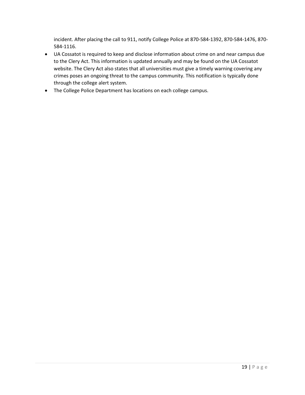incident. After placing the call to 911, notify College Police at 870-584-1392, 870-584-1476, 870- 584-1116.

- UA Cossatot is required to keep and disclose information about crime on and near campus due to the Clery Act. This information is updated annually and may be found on the UA Cossatot website. The Clery Act also states that all universities must give a timely warning covering any crimes poses an ongoing threat to the campus community. This notification is typically done through the college alert system.
- The College Police Department has locations on each college campus.